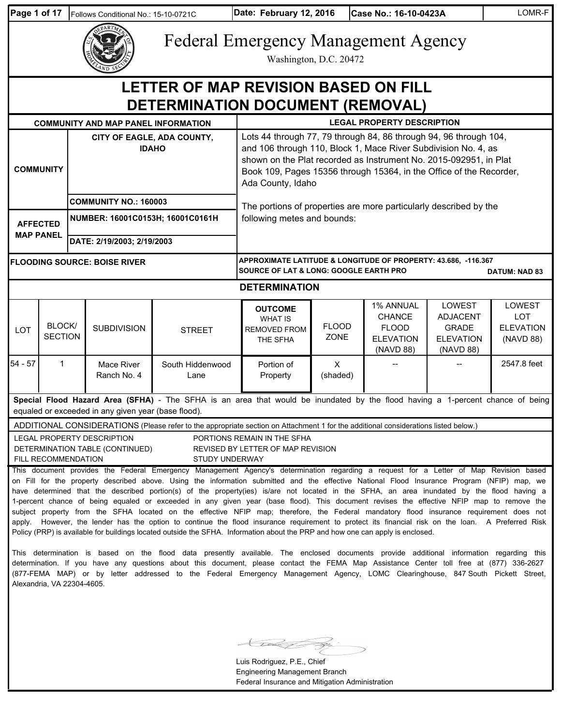| Page 1 of 17                                                                    |                                                                                                                                                                                                                                                                                                                                                                                                                                                                                                                                                                                                                                                                                                                                                                                                                                                                                                                                                                                                                                                                                                                                                                                                                                                                                                                                                                                                                                                                                                                                       | Follows Conditional No.: 15-10-0721C                             |                                                                   | Date: February 12, 2016<br>Case No.: 16-10-0423A                                                                                                                                                                                                                                                     |                                                                                                                                             |                             |  | LOMR-F                                                                      |                                                                            |                                                       |
|---------------------------------------------------------------------------------|---------------------------------------------------------------------------------------------------------------------------------------------------------------------------------------------------------------------------------------------------------------------------------------------------------------------------------------------------------------------------------------------------------------------------------------------------------------------------------------------------------------------------------------------------------------------------------------------------------------------------------------------------------------------------------------------------------------------------------------------------------------------------------------------------------------------------------------------------------------------------------------------------------------------------------------------------------------------------------------------------------------------------------------------------------------------------------------------------------------------------------------------------------------------------------------------------------------------------------------------------------------------------------------------------------------------------------------------------------------------------------------------------------------------------------------------------------------------------------------------------------------------------------------|------------------------------------------------------------------|-------------------------------------------------------------------|------------------------------------------------------------------------------------------------------------------------------------------------------------------------------------------------------------------------------------------------------------------------------------------------------|---------------------------------------------------------------------------------------------------------------------------------------------|-----------------------------|--|-----------------------------------------------------------------------------|----------------------------------------------------------------------------|-------------------------------------------------------|
|                                                                                 |                                                                                                                                                                                                                                                                                                                                                                                                                                                                                                                                                                                                                                                                                                                                                                                                                                                                                                                                                                                                                                                                                                                                                                                                                                                                                                                                                                                                                                                                                                                                       |                                                                  |                                                                   |                                                                                                                                                                                                                                                                                                      | <b>Federal Emergency Management Agency</b><br>Washington, D.C. 20472                                                                        |                             |  |                                                                             |                                                                            |                                                       |
|                                                                                 |                                                                                                                                                                                                                                                                                                                                                                                                                                                                                                                                                                                                                                                                                                                                                                                                                                                                                                                                                                                                                                                                                                                                                                                                                                                                                                                                                                                                                                                                                                                                       |                                                                  |                                                                   | LETTER OF MAP REVISION BASED ON FILL<br><b>DETERMINATION DOCUMENT (REMOVAL)</b>                                                                                                                                                                                                                      |                                                                                                                                             |                             |  |                                                                             |                                                                            |                                                       |
| <b>LEGAL PROPERTY DESCRIPTION</b><br><b>COMMUNITY AND MAP PANEL INFORMATION</b> |                                                                                                                                                                                                                                                                                                                                                                                                                                                                                                                                                                                                                                                                                                                                                                                                                                                                                                                                                                                                                                                                                                                                                                                                                                                                                                                                                                                                                                                                                                                                       |                                                                  |                                                                   |                                                                                                                                                                                                                                                                                                      |                                                                                                                                             |                             |  |                                                                             |                                                                            |                                                       |
| CITY OF EAGLE, ADA COUNTY,<br><b>IDAHO</b><br><b>COMMUNITY</b>                  |                                                                                                                                                                                                                                                                                                                                                                                                                                                                                                                                                                                                                                                                                                                                                                                                                                                                                                                                                                                                                                                                                                                                                                                                                                                                                                                                                                                                                                                                                                                                       |                                                                  |                                                                   | Lots 44 through 77, 79 through 84, 86 through 94, 96 through 104,<br>and 106 through 110, Block 1, Mace River Subdivision No. 4, as<br>shown on the Plat recorded as Instrument No. 2015-092951, in Plat<br>Book 109, Pages 15356 through 15364, in the Office of the Recorder,<br>Ada County, Idaho |                                                                                                                                             |                             |  |                                                                             |                                                                            |                                                       |
|                                                                                 | <b>AFFECTED</b><br><b>MAP PANEL</b>                                                                                                                                                                                                                                                                                                                                                                                                                                                                                                                                                                                                                                                                                                                                                                                                                                                                                                                                                                                                                                                                                                                                                                                                                                                                                                                                                                                                                                                                                                   | <b>COMMUNITY NO.: 160003</b><br>NUMBER: 16001C0153H; 16001C0161H |                                                                   |                                                                                                                                                                                                                                                                                                      | The portions of properties are more particularly described by the<br>following metes and bounds:                                            |                             |  |                                                                             |                                                                            |                                                       |
|                                                                                 |                                                                                                                                                                                                                                                                                                                                                                                                                                                                                                                                                                                                                                                                                                                                                                                                                                                                                                                                                                                                                                                                                                                                                                                                                                                                                                                                                                                                                                                                                                                                       |                                                                  | DATE: 2/19/2003; 2/19/2003<br><b>FLOODING SOURCE: BOISE RIVER</b> |                                                                                                                                                                                                                                                                                                      | APPROXIMATE LATITUDE & LONGITUDE OF PROPERTY: 43.686, -116.367<br><b>SOURCE OF LAT &amp; LONG: GOOGLE EARTH PRO</b><br><b>DATUM: NAD 83</b> |                             |  |                                                                             |                                                                            |                                                       |
|                                                                                 |                                                                                                                                                                                                                                                                                                                                                                                                                                                                                                                                                                                                                                                                                                                                                                                                                                                                                                                                                                                                                                                                                                                                                                                                                                                                                                                                                                                                                                                                                                                                       |                                                                  |                                                                   |                                                                                                                                                                                                                                                                                                      | <b>DETERMINATION</b>                                                                                                                        |                             |  |                                                                             |                                                                            |                                                       |
| LOT                                                                             | BLOCK/<br><b>SECTION</b>                                                                                                                                                                                                                                                                                                                                                                                                                                                                                                                                                                                                                                                                                                                                                                                                                                                                                                                                                                                                                                                                                                                                                                                                                                                                                                                                                                                                                                                                                                              |                                                                  | <b>SUBDIVISION</b>                                                | <b>STREET</b>                                                                                                                                                                                                                                                                                        | <b>OUTCOME</b><br><b>WHAT IS</b><br><b>REMOVED FROM</b><br>THE SFHA                                                                         | <b>FLOOD</b><br><b>ZONE</b> |  | 1% ANNUAL<br><b>CHANCE</b><br><b>FLOOD</b><br><b>ELEVATION</b><br>(NAVD 88) | LOWEST<br><b>ADJACENT</b><br><b>GRADE</b><br><b>ELEVATION</b><br>(NAVD 88) | LOWEST<br><b>LOT</b><br><b>ELEVATION</b><br>(NAVD 88) |
| $54 - 57$                                                                       | $\mathbf 1$                                                                                                                                                                                                                                                                                                                                                                                                                                                                                                                                                                                                                                                                                                                                                                                                                                                                                                                                                                                                                                                                                                                                                                                                                                                                                                                                                                                                                                                                                                                           |                                                                  | Mace River<br>Ranch No. 4                                         | South Hiddenwood<br>Lane                                                                                                                                                                                                                                                                             | Portion of<br>Property                                                                                                                      | $\times$<br>(shaded)        |  |                                                                             |                                                                            | 2547.8 feet                                           |
|                                                                                 | Special Flood Hazard Area (SFHA) - The SFHA is an area that would be inundated by the flood having a 1-percent chance of being<br>equaled or exceeded in any given year (base flood).<br>ADDITIONAL CONSIDERATIONS (Please refer to the appropriate section on Attachment 1 for the additional considerations listed below.)<br>LEGAL PROPERTY DESCRIPTION<br>PORTIONS REMAIN IN THE SFHA<br>DETERMINATION TABLE (CONTINUED)<br>REVISED BY LETTER OF MAP REVISION<br>FILL RECOMMENDATION<br><b>STUDY UNDERWAY</b><br>This document provides the Federal Emergency Management Agency's determination regarding a request for a Letter of Map Revision based<br>on Fill for the property described above. Using the information submitted and the effective National Flood Insurance Program (NFIP) map, we<br>have determined that the described portion(s) of the property(ies) is/are not located in the SFHA, an area inundated by the flood having a<br>1-percent chance of being equaled or exceeded in any given year (base flood). This document revises the effective NFIP map to remove the<br>subject property from the SFHA located on the effective NFIP map; therefore, the Federal mandatory flood insurance requirement does not<br>apply. However, the lender has the option to continue the flood insurance requirement to protect its financial risk on the loan. A Preferred Risk<br>Policy (PRP) is available for buildings located outside the SFHA. Information about the PRP and how one can apply is enclosed. |                                                                  |                                                                   |                                                                                                                                                                                                                                                                                                      |                                                                                                                                             |                             |  |                                                                             |                                                                            |                                                       |

This determination is based on the flood data presently available. The enclosed documents provide additional information regarding this determination. If you have any questions about this document, please contact the FEMA Map Assistance Center toll free at (877) 336-2627 (877-FEMA MAP) or by letter addressed to the Federal Emergency Management Agency, LOMC Clearinghouse, 847 South Pickett Street, Alexandria, VA 22304-4605.

 $\overline{D}$ Ź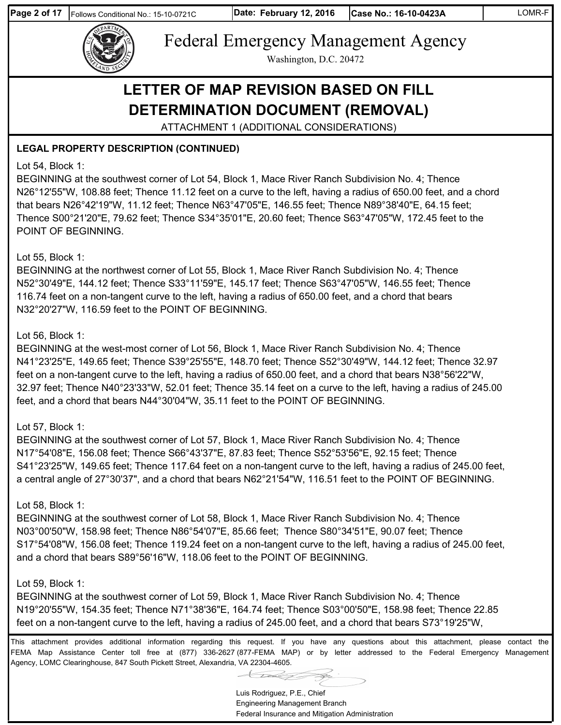

Washington, D.C. 20472

# **LETTER OF MAP REVISION BASED ON FILL DETERMINATION DOCUMENT (REMOVAL)**

ATTACHMENT 1 (ADDITIONAL CONSIDERATIONS)

### **LEGAL PROPERTY DESCRIPTION (CONTINUED)**

### Lot 54, Block 1:

BEGINNING at the southwest corner of Lot 54, Block 1, Mace River Ranch Subdivision No. 4; Thence N26°12'55"W, 108.88 feet; Thence 11.12 feet on a curve to the left, having a radius of 650.00 feet, and a chord that bears N26°42'19"W, 11.12 feet; Thence N63°47'05"E, 146.55 feet; Thence N89°38'40"E, 64.15 feet; Thence S00°21'20"E, 79.62 feet; Thence S34°35'01"E, 20.60 feet; Thence S63°47'05"W, 172.45 feet to the POINT OF BEGINNING.

### Lot 55, Block 1:

BEGINNING at the northwest corner of Lot 55, Block 1, Mace River Ranch Subdivision No. 4; Thence N52°30'49"E, 144.12 feet; Thence S33°11'59"E, 145.17 feet; Thence S63°47'05"W, 146.55 feet; Thence 116.74 feet on a non-tangent curve to the left, having a radius of 650.00 feet, and a chord that bears N32°20'27"W, 116.59 feet to the POINT OF BEGINNING.

### Lot 56, Block 1:

BEGINNING at the west-most corner of Lot 56, Block 1, Mace River Ranch Subdivision No. 4; Thence N41°23'25"E, 149.65 feet; Thence S39°25'55"E, 148.70 feet; Thence S52°30'49"W, 144.12 feet; Thence 32.97 feet on a non-tangent curve to the left, having a radius of 650.00 feet, and a chord that bears N38°56'22"W, 32.97 feet; Thence N40°23'33"W, 52.01 feet; Thence 35.14 feet on a curve to the left, having a radius of 245.00 feet, and a chord that bears N44°30'04"W, 35.11 feet to the POINT OF BEGINNING.

### Lot 57, Block 1:

BEGINNING at the southwest corner of Lot 57, Block 1, Mace River Ranch Subdivision No. 4; Thence N17°54'08"E, 156.08 feet; Thence S66°43'37"E, 87.83 feet; Thence S52°53'56"E, 92.15 feet; Thence S41°23'25"W, 149.65 feet; Thence 117.64 feet on a non-tangent curve to the left, having a radius of 245.00 feet, a central angle of 27°30'37", and a chord that bears N62°21'54"W, 116.51 feet to the POINT OF BEGINNING.

### Lot 58, Block 1:

BEGINNING at the southwest corner of Lot 58, Block 1, Mace River Ranch Subdivision No. 4; Thence N03°00'50"W, 158.98 feet; Thence N86°54'07"E, 85.66 feet; Thence S80°34'51"E, 90.07 feet; Thence S17°54'08"W, 156.08 feet; Thence 119.24 feet on a non-tangent curve to the left, having a radius of 245.00 feet, and a chord that bears S89°56'16"W, 118.06 feet to the POINT OF BEGINNING.

### Lot 59, Block 1:

BEGINNING at the southwest corner of Lot 59, Block 1, Mace River Ranch Subdivision No. 4; Thence N19°20'55"W, 154.35 feet; Thence N71°38'36"E, 164.74 feet; Thence S03°00'50"E, 158.98 feet; Thence 22.85 feet on a non-tangent curve to the left, having a radius of 245.00 feet, and a chord that bears S73°19'25"W,

This attachment provides additional information regarding this request. If you have any questions about this attachment, please contact the FEMA Map Assistance Center toll free at (877) 336-2627 (877-FEMA MAP) or by letter addressed to the Federal Emergency Management Agency, LOMC Clearinghouse, 847 South Pickett Street, Alexandria, VA 22304-4605.

Luis Rodriguez, P.E., Chief Engineering Management Branch

Federal Insurance and Mitigation Administration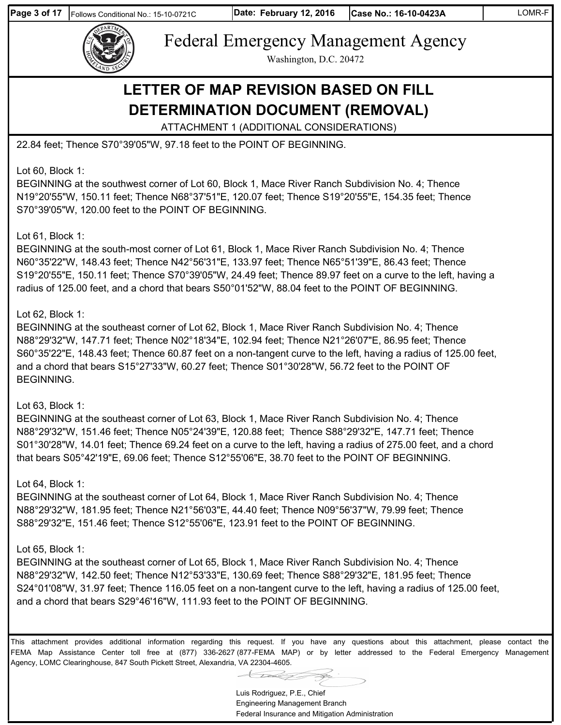

Federal Emergency Management Agency Washington, D.C. 20472

## **LETTER OF MAP REVISION BASED ON FILL DETERMINATION DOCUMENT (REMOVAL)**

ATTACHMENT 1 (ADDITIONAL CONSIDERATIONS)

22.84 feet; Thence S70°39'05"W, 97.18 feet to the POINT OF BEGINNING.

Lot 60, Block 1:

BEGINNING at the southwest corner of Lot 60, Block 1, Mace River Ranch Subdivision No. 4; Thence N19°20'55"W, 150.11 feet; Thence N68°37'51"E, 120.07 feet; Thence S19°20'55"E, 154.35 feet; Thence S70°39'05"W, 120.00 feet to the POINT OF BEGINNING.

#### Lot 61, Block 1:

BEGINNING at the south-most corner of Lot 61, Block 1, Mace River Ranch Subdivision No. 4; Thence N60°35'22"W, 148.43 feet; Thence N42°56'31"E, 133.97 feet; Thence N65°51'39"E, 86.43 feet; Thence S19°20'55"E, 150.11 feet; Thence S70°39'05"W, 24.49 feet; Thence 89.97 feet on a curve to the left, having a radius of 125.00 feet, and a chord that bears S50°01'52"W, 88.04 feet to the POINT OF BEGINNING.

#### Lot 62, Block 1:

BEGINNING at the southeast corner of Lot 62, Block 1, Mace River Ranch Subdivision No. 4; Thence N88°29'32"W, 147.71 feet; Thence N02°18'34"E, 102.94 feet; Thence N21°26'07"E, 86.95 feet; Thence S60°35'22"E, 148.43 feet; Thence 60.87 feet on a non-tangent curve to the left, having a radius of 125.00 feet, and a chord that bears S15°27'33"W, 60.27 feet; Thence S01°30'28"W, 56.72 feet to the POINT OF BEGINNING.

#### Lot 63, Block 1:

BEGINNING at the southeast corner of Lot 63, Block 1, Mace River Ranch Subdivision No. 4; Thence N88°29'32"W, 151.46 feet; Thence N05°24'39"E, 120.88 feet; Thence S88°29'32"E, 147.71 feet; Thence S01°30'28"W, 14.01 feet; Thence 69.24 feet on a curve to the left, having a radius of 275.00 feet, and a chord that bears S05°42'19"E, 69.06 feet; Thence S12°55'06"E, 38.70 feet to the POINT OF BEGINNING.

#### Lot 64, Block 1:

BEGINNING at the southeast corner of Lot 64, Block 1, Mace River Ranch Subdivision No. 4; Thence N88°29'32"W, 181.95 feet; Thence N21°56'03"E, 44.40 feet; Thence N09°56'37"W, 79.99 feet; Thence S88°29'32"E, 151.46 feet; Thence S12°55'06"E, 123.91 feet to the POINT OF BEGINNING.

#### Lot 65, Block 1:

BEGINNING at the southeast corner of Lot 65, Block 1, Mace River Ranch Subdivision No. 4; Thence N88°29'32"W, 142.50 feet; Thence N12°53'33"E, 130.69 feet; Thence S88°29'32"E, 181.95 feet; Thence S24°01'08"W, 31.97 feet; Thence 116.05 feet on a non-tangent curve to the left, having a radius of 125.00 feet, and a chord that bears S29°46'16"W, 111.93 feet to the POINT OF BEGINNING.

Luis Rodriguez, P.E., Chief Engineering Management Branch Federal Insurance and Mitigation Administration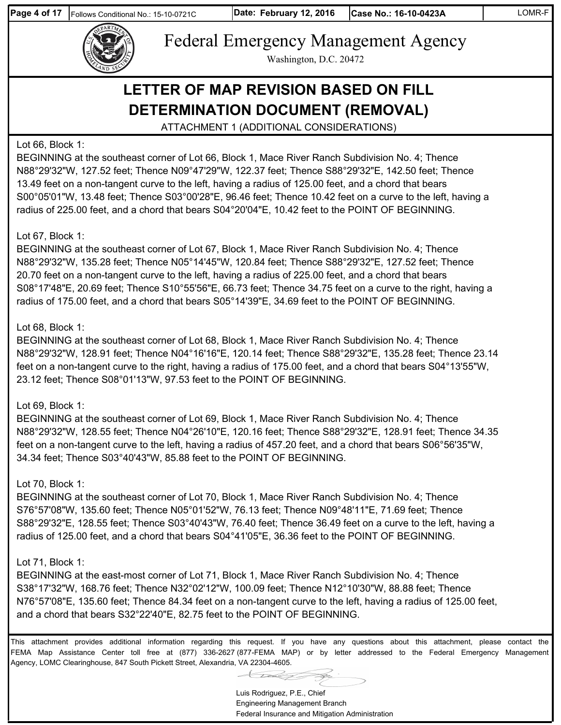

Federal Emergency Management Agency Washington, D.C. 20472

# **LETTER OF MAP REVISION BASED ON FILL DETERMINATION DOCUMENT (REMOVAL)**

ATTACHMENT 1 (ADDITIONAL CONSIDERATIONS)

#### Lot 66, Block 1:

BEGINNING at the southeast corner of Lot 66, Block 1, Mace River Ranch Subdivision No. 4; Thence N88°29'32"W, 127.52 feet; Thence N09°47'29"W, 122.37 feet; Thence S88°29'32"E, 142.50 feet; Thence 13.49 feet on a non-tangent curve to the left, having a radius of 125.00 feet, and a chord that bears S00°05'01"W, 13.48 feet; Thence S03°00'28"E, 96.46 feet; Thence 10.42 feet on a curve to the left, having a radius of 225.00 feet, and a chord that bears S04°20'04"E, 10.42 feet to the POINT OF BEGINNING.

#### Lot 67, Block 1:

BEGINNING at the southeast corner of Lot 67, Block 1, Mace River Ranch Subdivision No. 4; Thence N88°29'32"W, 135.28 feet; Thence N05°14'45"W, 120.84 feet; Thence S88°29'32"E, 127.52 feet; Thence 20.70 feet on a non-tangent curve to the left, having a radius of 225.00 feet, and a chord that bears S08°17'48"E, 20.69 feet; Thence S10°55'56"E, 66.73 feet; Thence 34.75 feet on a curve to the right, having a radius of 175.00 feet, and a chord that bears S05°14'39"E, 34.69 feet to the POINT OF BEGINNING.

#### Lot 68, Block 1:

BEGINNING at the southeast corner of Lot 68, Block 1, Mace River Ranch Subdivision No. 4; Thence N88°29'32"W, 128.91 feet; Thence N04°16'16"E, 120.14 feet; Thence S88°29'32"E, 135.28 feet; Thence 23.14 feet on a non-tangent curve to the right, having a radius of 175.00 feet, and a chord that bears S04°13'55"W, 23.12 feet; Thence S08°01'13"W, 97.53 feet to the POINT OF BEGINNING.

#### Lot 69, Block 1:

BEGINNING at the southeast corner of Lot 69, Block 1, Mace River Ranch Subdivision No. 4; Thence N88°29'32"W, 128.55 feet; Thence N04°26'10"E, 120.16 feet; Thence S88°29'32"E, 128.91 feet; Thence 34.35 feet on a non-tangent curve to the left, having a radius of 457.20 feet, and a chord that bears S06°56'35"W, 34.34 feet; Thence S03°40'43"W, 85.88 feet to the POINT OF BEGINNING.

#### Lot 70, Block 1:

BEGINNING at the southeast corner of Lot 70, Block 1, Mace River Ranch Subdivision No. 4; Thence S76°57'08"W, 135.60 feet; Thence N05°01'52"W, 76.13 feet; Thence N09°48'11"E, 71.69 feet; Thence S88°29'32"E, 128.55 feet; Thence S03°40'43"W, 76.40 feet; Thence 36.49 feet on a curve to the left, having a radius of 125.00 feet, and a chord that bears S04°41'05"E, 36.36 feet to the POINT OF BEGINNING.

#### Lot 71, Block 1:

BEGINNING at the east-most corner of Lot 71, Block 1, Mace River Ranch Subdivision No. 4; Thence S38°17'32"W, 168.76 feet; Thence N32°02'12"W, 100.09 feet; Thence N12°10'30"W, 88.88 feet; Thence N76°57'08"E, 135.60 feet; Thence 84.34 feet on a non-tangent curve to the left, having a radius of 125.00 feet, and a chord that bears S32°22'40"E, 82.75 feet to the POINT OF BEGINNING.

Luis Rodriguez, P.E., Chief Engineering Management Branch Federal Insurance and Mitigation Administration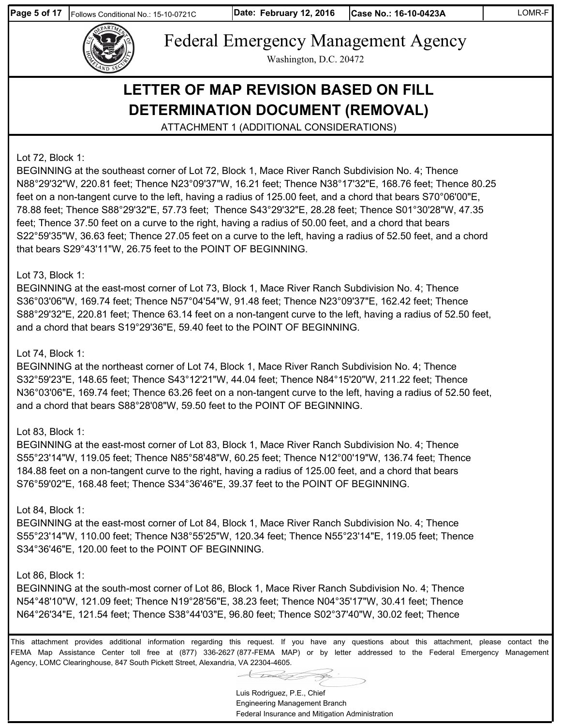

Federal Emergency Management Agency Washington, D.C. 20472

# **LETTER OF MAP REVISION BASED ON FILL DETERMINATION DOCUMENT (REMOVAL)**

ATTACHMENT 1 (ADDITIONAL CONSIDERATIONS)

Lot 72, Block 1:

BEGINNING at the southeast corner of Lot 72, Block 1, Mace River Ranch Subdivision No. 4; Thence N88°29'32"W, 220.81 feet; Thence N23°09'37"W, 16.21 feet; Thence N38°17'32"E, 168.76 feet; Thence 80.25 feet on a non-tangent curve to the left, having a radius of 125.00 feet, and a chord that bears S70°06'00"E, 78.88 feet; Thence S88°29'32"E, 57.73 feet; Thence S43°29'32"E, 28.28 feet; Thence S01°30'28"W, 47.35 feet; Thence 37.50 feet on a curve to the right, having a radius of 50.00 feet, and a chord that bears S22°59'35"W, 36.63 feet; Thence 27.05 feet on a curve to the left, having a radius of 52.50 feet, and a chord that bears S29°43'11"W, 26.75 feet to the POINT OF BEGINNING.

#### Lot 73, Block 1:

BEGINNING at the east-most corner of Lot 73, Block 1, Mace River Ranch Subdivision No. 4; Thence S36°03'06"W, 169.74 feet; Thence N57°04'54"W, 91.48 feet; Thence N23°09'37"E, 162.42 feet; Thence S88°29'32"E, 220.81 feet; Thence 63.14 feet on a non-tangent curve to the left, having a radius of 52.50 feet, and a chord that bears S19°29'36"E, 59.40 feet to the POINT OF BEGINNING.

#### Lot 74, Block 1:

BEGINNING at the northeast corner of Lot 74, Block 1, Mace River Ranch Subdivision No. 4; Thence S32°59'23"E, 148.65 feet; Thence S43°12'21"W, 44.04 feet; Thence N84°15'20"W, 211.22 feet; Thence N36°03'06"E, 169.74 feet; Thence 63.26 feet on a non-tangent curve to the left, having a radius of 52.50 feet, and a chord that bears S88°28'08"W, 59.50 feet to the POINT OF BEGINNING.

#### Lot 83, Block 1:

BEGINNING at the east-most corner of Lot 83, Block 1, Mace River Ranch Subdivision No. 4; Thence S55°23'14"W, 119.05 feet; Thence N85°58'48"W, 60.25 feet; Thence N12°00'19"W, 136.74 feet; Thence 184.88 feet on a non-tangent curve to the right, having a radius of 125.00 feet, and a chord that bears S76°59'02"E, 168.48 feet; Thence S34°36'46"E, 39.37 feet to the POINT OF BEGINNING.

#### Lot 84, Block 1:

BEGINNING at the east-most corner of Lot 84, Block 1, Mace River Ranch Subdivision No. 4; Thence S55°23'14"W, 110.00 feet; Thence N38°55'25"W, 120.34 feet; Thence N55°23'14"E, 119.05 feet; Thence S34°36'46"E, 120.00 feet to the POINT OF BEGINNING.

#### Lot 86, Block 1:

BEGINNING at the south-most corner of Lot 86, Block 1, Mace River Ranch Subdivision No. 4; Thence N54°48'10"W, 121.09 feet; Thence N19°28'56"E, 38.23 feet; Thence N04°35'17"W, 30.41 feet; Thence N64°26'34"E, 121.54 feet; Thence S38°44'03"E, 96.80 feet; Thence S02°37'40"W, 30.02 feet; Thence

This attachment provides additional information regarding this request. If you have any questions about this attachment, please contact the FEMA Map Assistance Center toll free at (877) 336-2627 (877-FEMA MAP) or by letter addressed to the Federal Emergency Management Agency, LOMC Clearinghouse, 847 South Pickett Street, Alexandria, VA 22304-4605.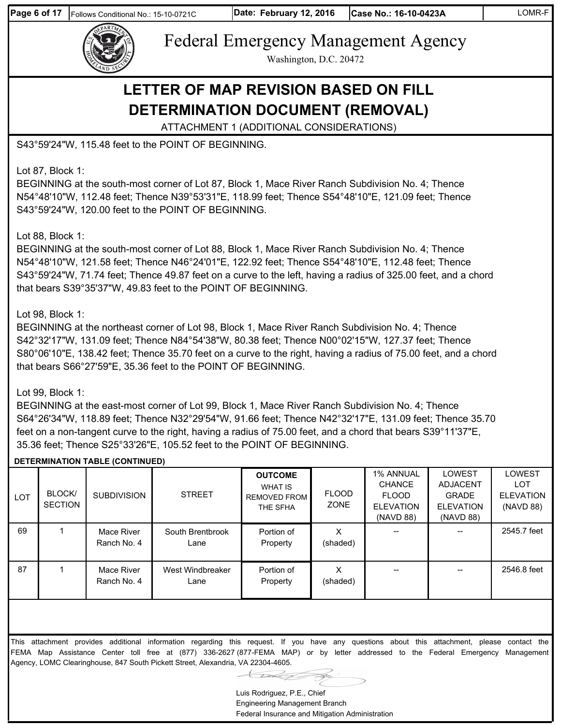

Washington, D.C. 20472

## **LETTER OF MAP REVISION BASED ON FILL DETERMINATION DOCUMENT (REMOVAL)**

ATTACHMENT 1 (ADDITIONAL CONSIDERATIONS)

S43°59'24"W, 115.48 feet to the POINT OF BEGINNING.

Lot 87, Block 1:

BEGINNING at the south-most corner of Lot 87, Block 1, Mace River Ranch Subdivision No. 4; Thence N54°48'10"W, 112.48 feet; Thence N39°53'31"E, 118.99 feet; Thence S54°48'10"E, 121.09 feet; Thence S43°59'24"W, 120.00 feet to the POINT OF BEGINNING.

Lot 88, Block 1:

BEGINNING at the south-most corner of Lot 88, Block 1, Mace River Ranch Subdivision No. 4; Thence N54°48'10"W, 121.58 feet; Thence N46°24'01"E, 122.92 feet; Thence S54°48'10"E, 112.48 feet; Thence S43°59'24"W, 71.74 feet; Thence 49.87 feet on a curve to the left, having a radius of 325.00 feet, and a chord that bears S39°35'37"W, 49.83 feet to the POINT OF BEGINNING.

#### Lot 98, Block 1:

BEGINNING at the northeast corner of Lot 98, Block 1, Mace River Ranch Subdivision No. 4; Thence S42°32'17"W, 131.09 feet; Thence N84°54'38"W, 80.38 feet; Thence N00°02'15"W, 127.37 feet; Thence S80°06'10"E, 138.42 feet; Thence 35.70 feet on a curve to the right, having a radius of 75.00 feet, and a chord that bears S66°27'59"E, 35.36 feet to the POINT OF BEGINNING.

#### Lot 99, Block 1:

BEGINNING at the east-most corner of Lot 99, Block 1, Mace River Ranch Subdivision No. 4; Thence S64°26'34"W, 118.89 feet; Thence N32°29'54"W, 91.66 feet; Thence N42°32'17"E, 131.09 feet; Thence 35.70 feet on a non-tangent curve to the right, having a radius of 75.00 feet, and a chord that bears S39°11'37"E, 35.36 feet; Thence S25°33'26"E, 105.52 feet to the POINT OF BEGINNING.

#### **DETERMINATION TABLE (CONTINUED)**

| <b>LOT</b> | <b>BLOCK</b><br><b>SECTION</b> | <b>SUBDIVISION</b>        | <b>STREET</b>            | <b>OUTCOME</b><br>WHAT IS<br><b>REMOVED FROM</b><br>THE SFHA | <b>FLOOD</b><br>ZONE | <b>1% ANNUAL</b><br><b>CHANCE</b><br><b>FLOOD</b><br><b>ELEVATION</b><br>(NAVD 88) | LOWEST<br><b>ADJACENT</b><br><b>GRADE</b><br><b>ELEVATION</b><br>(NAVD 88) | <b>LOWEST</b><br>LOT<br><b>ELEVATION</b><br>(NAVD 88) |
|------------|--------------------------------|---------------------------|--------------------------|--------------------------------------------------------------|----------------------|------------------------------------------------------------------------------------|----------------------------------------------------------------------------|-------------------------------------------------------|
| 69         |                                | Mace River<br>Ranch No. 4 | South Brentbrook<br>Lane | Portion of<br>Property                                       | (shaded)             |                                                                                    | $- -$                                                                      | 2545.7 feet                                           |
| 87         |                                | Mace River<br>Ranch No. 4 | West Windbreaker<br>Lane | Portion of<br>Property                                       | х<br>(shaded)        |                                                                                    |                                                                            | 2546.8 feet                                           |

Luis Rodriguez, P.E., Chief Engineering Management Branch Federal Insurance and Mitigation Administration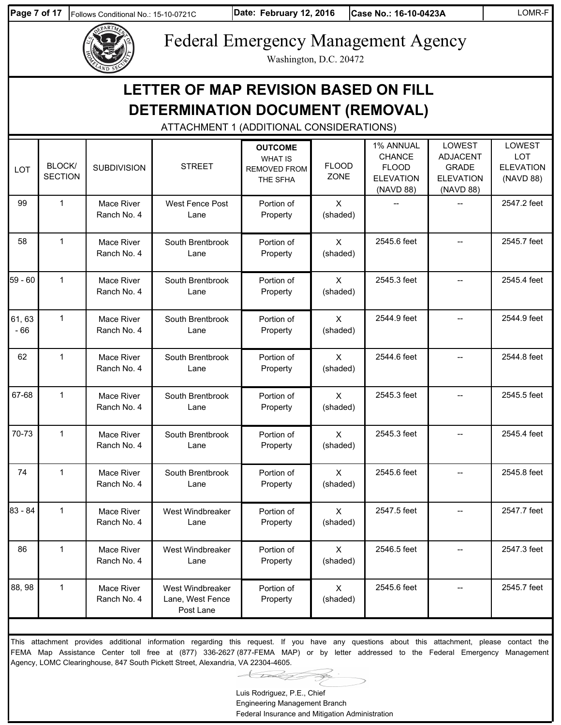**Page 7 of 17** Follows Conditional No.: 15-10-0721C

**Date: Case No.: 16-10-0423A** LOMR-F



# Federal Emergency Management Agency

Washington, D.C. 20472

|                 |                          |                           | LETTER OF MAP REVISION BASED ON FILL<br>DETERMINATION DOCUMENT (REMOVAL)<br>ATTACHMENT 1 (ADDITIONAL CONSIDERATIONS)                        |                                                                     |                          |                                                                             |                                                                            |                                                       |
|-----------------|--------------------------|---------------------------|---------------------------------------------------------------------------------------------------------------------------------------------|---------------------------------------------------------------------|--------------------------|-----------------------------------------------------------------------------|----------------------------------------------------------------------------|-------------------------------------------------------|
| LOT             | BLOCK/<br><b>SECTION</b> | <b>SUBDIVISION</b>        | <b>STREET</b>                                                                                                                               | <b>OUTCOME</b><br><b>WHAT IS</b><br><b>REMOVED FROM</b><br>THE SFHA | <b>FLOOD</b><br>ZONE     | 1% ANNUAL<br><b>CHANCE</b><br><b>FLOOD</b><br><b>ELEVATION</b><br>(NAVD 88) | LOWEST<br><b>ADJACENT</b><br><b>GRADE</b><br><b>ELEVATION</b><br>(NAVD 88) | LOWEST<br><b>LOT</b><br><b>ELEVATION</b><br>(NAVD 88) |
| 99              | $\mathbf{1}$             | Mace River<br>Ranch No. 4 | West Fence Post<br>Lane                                                                                                                     | Portion of<br>Property                                              | X<br>(shaded)            |                                                                             |                                                                            | 2547.2 feet                                           |
| 58              | $\mathbf{1}$             | Mace River<br>Ranch No. 4 | South Brentbrook<br>Lane                                                                                                                    | Portion of<br>Property                                              | $\mathsf{X}$<br>(shaded) | 2545.6 feet                                                                 | $-$                                                                        | 2545.7 feet                                           |
| 59 - 60         | $\mathbf{1}$             | Mace River<br>Ranch No. 4 | South Brentbrook<br>Lane                                                                                                                    | Portion of<br>Property                                              | $\times$<br>(shaded)     | 2545.3 feet                                                                 |                                                                            | 2545.4 feet                                           |
| 61, 63<br>$-66$ | $\mathbf{1}$             | Mace River<br>Ranch No. 4 | South Brentbrook<br>Lane                                                                                                                    | Portion of<br>Property                                              | $\mathsf{X}$<br>(shaded) | 2544.9 feet                                                                 | $-$                                                                        | 2544.9 feet                                           |
| 62              | $\mathbf{1}$             | Mace River<br>Ranch No. 4 | South Brentbrook<br>Lane                                                                                                                    | Portion of<br>Property                                              | $\times$<br>(shaded)     | 2544.6 feet                                                                 |                                                                            | 2544.8 feet                                           |
| 67-68           | $\mathbf{1}$             | Mace River<br>Ranch No. 4 | South Brentbrook<br>Lane                                                                                                                    | Portion of<br>Property                                              | $\mathsf{X}$<br>(shaded) | 2545.3 feet                                                                 |                                                                            | 2545.5 feet                                           |
| 70-73           | $\mathbf{1}$             | Mace River<br>Ranch No. 4 | South Brentbrook<br>Lane                                                                                                                    | Portion of<br>Property                                              | $\times$<br>(shaded)     | 2545.3 feet                                                                 |                                                                            | 2545.4 feet                                           |
| 74              | $\mathbf{1}$             | Mace River<br>Ranch No. 4 | South Brentbrook<br>Lane                                                                                                                    | Portion of<br>Property                                              | $\times$<br>(shaded)     | 2545.6 feet                                                                 | $-$                                                                        | 2545.8 feet                                           |
| $83 - 84$       | $\mathbf{1}$             | Mace River<br>Ranch No. 4 | West Windbreaker<br>Lane                                                                                                                    | Portion of<br>Property                                              | $\mathsf{X}$<br>(shaded) | 2547.5 feet                                                                 |                                                                            | 2547.7 feet                                           |
| 86              | $\mathbf 1$              | Mace River<br>Ranch No. 4 | West Windbreaker<br>Lane                                                                                                                    | Portion of<br>Property                                              | $\mathsf{X}$<br>(shaded) | 2546.5 feet                                                                 |                                                                            | 2547.3 feet                                           |
| 88, 98          | $\mathbf 1$              | Mace River<br>Ranch No. 4 | West Windbreaker<br>Lane, West Fence<br>Post Lane                                                                                           | Portion of<br>Property                                              | $\mathsf{X}$<br>(shaded) | 2545.6 feet                                                                 |                                                                            | 2545.7 feet                                           |
|                 |                          |                           | This attachment provides additional information regarding this request. If you have any questions about this attachment, please contact the |                                                                     |                          |                                                                             |                                                                            |                                                       |

This attachment provides additional information regarding this request. If you have any questions about this attachment, please contact the FEMA Map Assistance Center toll free at (877) 336-2627 (877-FEMA MAP) or by letter addressed to the Federal Emergency Management Agency, LOMC Clearinghouse, 847 South Pickett Street, Alexandria, VA 22304-4605.

Luis Rodriguez, P.E., Chief

Engineering Management Branch Federal Insurance and Mitigation Administration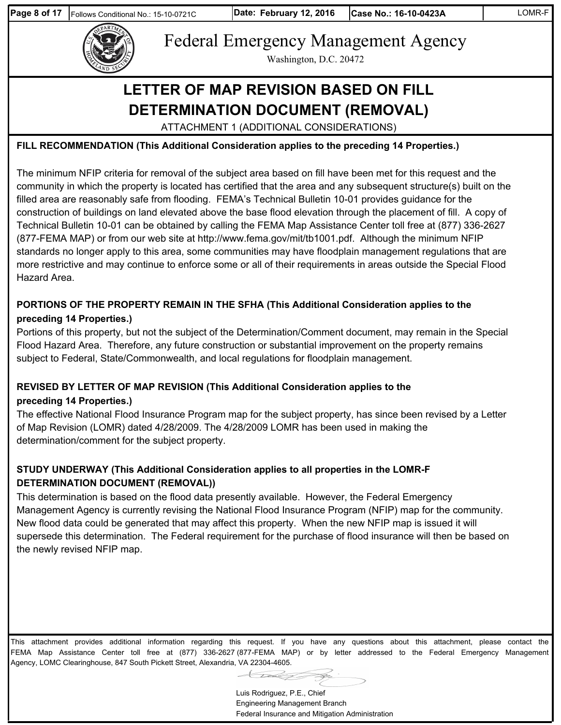

Washington, D.C. 20472

# **LETTER OF MAP REVISION BASED ON FILL DETERMINATION DOCUMENT (REMOVAL)**

ATTACHMENT 1 (ADDITIONAL CONSIDERATIONS)

#### **FILL RECOMMENDATION (This Additional Consideration applies to the preceding 14 Properties.)**

The minimum NFIP criteria for removal of the subject area based on fill have been met for this request and the community in which the property is located has certified that the area and any subsequent structure(s) built on the filled area are reasonably safe from flooding. FEMA's Technical Bulletin 10-01 provides guidance for the construction of buildings on land elevated above the base flood elevation through the placement of fill. A copy of Technical Bulletin 10-01 can be obtained by calling the FEMA Map Assistance Center toll free at (877) 336-2627 (877-FEMA MAP) or from our web site at http://www.fema.gov/mit/tb1001.pdf. Although the minimum NFIP standards no longer apply to this area, some communities may have floodplain management regulations that are more restrictive and may continue to enforce some or all of their requirements in areas outside the Special Flood Hazard Area.

#### **PORTIONS OF THE PROPERTY REMAIN IN THE SFHA (This Additional Consideration applies to the preceding 14 Properties.)**

Portions of this property, but not the subject of the Determination/Comment document, may remain in the Special Flood Hazard Area. Therefore, any future construction or substantial improvement on the property remains subject to Federal, State/Commonwealth, and local regulations for floodplain management.

#### **REVISED BY LETTER OF MAP REVISION (This Additional Consideration applies to the preceding 14 Properties.)**

The effective National Flood Insurance Program map for the subject property, has since been revised by a Letter of Map Revision (LOMR) dated 4/28/2009. The 4/28/2009 LOMR has been used in making the determination/comment for the subject property.

### **STUDY UNDERWAY (This Additional Consideration applies to all properties in the LOMR-F DETERMINATION DOCUMENT (REMOVAL))**

This determination is based on the flood data presently available. However, the Federal Emergency Management Agency is currently revising the National Flood Insurance Program (NFIP) map for the community. New flood data could be generated that may affect this property. When the new NFIP map is issued it will supersede this determination. The Federal requirement for the purchase of flood insurance will then be based on the newly revised NFIP map.

This attachment provides additional information regarding this request. If you have any questions about this attachment, please contact the FEMA Map Assistance Center toll free at (877) 336-2627 (877-FEMA MAP) or by letter addressed to the Federal Emergency Management Agency, LOMC Clearinghouse, 847 South Pickett Street, Alexandria, VA 22304-4605.

> Luis Rodriguez, P.E., Chief Engineering Management Branch

Federal Insurance and Mitigation Administration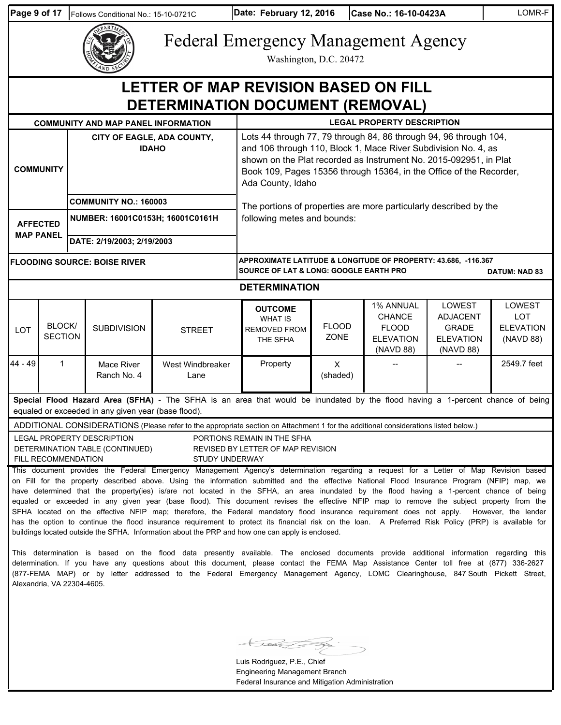| Page 9 of 17     |                                                                                                                                                                                                                                                                                                                                                                                                                                                                                                                                                                                                                                                                                                                                                                                                                                                                                                                                                                                                                                                                                                                                                                                                                                                                                                                                                                                                                                                                                                           | Follows Conditional No.: 15-10-0721C                             |                                            | Date: February 12, 2016<br>Case No.: 16-10-0423A                                                                                                                                                                                                                                                     |                                                                                                                                             |                             |  | LOMR-F                                                                      |                                                                            |                                                       |  |
|------------------|-----------------------------------------------------------------------------------------------------------------------------------------------------------------------------------------------------------------------------------------------------------------------------------------------------------------------------------------------------------------------------------------------------------------------------------------------------------------------------------------------------------------------------------------------------------------------------------------------------------------------------------------------------------------------------------------------------------------------------------------------------------------------------------------------------------------------------------------------------------------------------------------------------------------------------------------------------------------------------------------------------------------------------------------------------------------------------------------------------------------------------------------------------------------------------------------------------------------------------------------------------------------------------------------------------------------------------------------------------------------------------------------------------------------------------------------------------------------------------------------------------------|------------------------------------------------------------------|--------------------------------------------|------------------------------------------------------------------------------------------------------------------------------------------------------------------------------------------------------------------------------------------------------------------------------------------------------|---------------------------------------------------------------------------------------------------------------------------------------------|-----------------------------|--|-----------------------------------------------------------------------------|----------------------------------------------------------------------------|-------------------------------------------------------|--|
|                  |                                                                                                                                                                                                                                                                                                                                                                                                                                                                                                                                                                                                                                                                                                                                                                                                                                                                                                                                                                                                                                                                                                                                                                                                                                                                                                                                                                                                                                                                                                           |                                                                  |                                            |                                                                                                                                                                                                                                                                                                      | <b>Federal Emergency Management Agency</b><br>Washington, D.C. 20472                                                                        |                             |  |                                                                             |                                                                            |                                                       |  |
|                  |                                                                                                                                                                                                                                                                                                                                                                                                                                                                                                                                                                                                                                                                                                                                                                                                                                                                                                                                                                                                                                                                                                                                                                                                                                                                                                                                                                                                                                                                                                           |                                                                  |                                            | LETTER OF MAP REVISION BASED ON FILL                                                                                                                                                                                                                                                                 |                                                                                                                                             |                             |  |                                                                             |                                                                            |                                                       |  |
|                  | DETERMINATION DOCUMENT (REMOVAL)<br><b>LEGAL PROPERTY DESCRIPTION</b><br><b>COMMUNITY AND MAP PANEL INFORMATION</b>                                                                                                                                                                                                                                                                                                                                                                                                                                                                                                                                                                                                                                                                                                                                                                                                                                                                                                                                                                                                                                                                                                                                                                                                                                                                                                                                                                                       |                                                                  |                                            |                                                                                                                                                                                                                                                                                                      |                                                                                                                                             |                             |  |                                                                             |                                                                            |                                                       |  |
| <b>COMMUNITY</b> |                                                                                                                                                                                                                                                                                                                                                                                                                                                                                                                                                                                                                                                                                                                                                                                                                                                                                                                                                                                                                                                                                                                                                                                                                                                                                                                                                                                                                                                                                                           |                                                                  | CITY OF EAGLE, ADA COUNTY,<br><b>IDAHO</b> | Lots 44 through 77, 79 through 84, 86 through 94, 96 through 104,<br>and 106 through 110, Block 1, Mace River Subdivision No. 4, as<br>shown on the Plat recorded as Instrument No. 2015-092951, in Plat<br>Book 109, Pages 15356 through 15364, in the Office of the Recorder,<br>Ada County, Idaho |                                                                                                                                             |                             |  |                                                                             |                                                                            |                                                       |  |
|                  | <b>AFFECTED</b>                                                                                                                                                                                                                                                                                                                                                                                                                                                                                                                                                                                                                                                                                                                                                                                                                                                                                                                                                                                                                                                                                                                                                                                                                                                                                                                                                                                                                                                                                           | <b>COMMUNITY NO.: 160003</b><br>NUMBER: 16001C0153H; 16001C0161H |                                            |                                                                                                                                                                                                                                                                                                      | The portions of properties are more particularly described by the<br>following metes and bounds:                                            |                             |  |                                                                             |                                                                            |                                                       |  |
|                  | <b>MAP PANEL</b>                                                                                                                                                                                                                                                                                                                                                                                                                                                                                                                                                                                                                                                                                                                                                                                                                                                                                                                                                                                                                                                                                                                                                                                                                                                                                                                                                                                                                                                                                          | DATE: 2/19/2003; 2/19/2003                                       |                                            |                                                                                                                                                                                                                                                                                                      |                                                                                                                                             |                             |  |                                                                             |                                                                            |                                                       |  |
|                  |                                                                                                                                                                                                                                                                                                                                                                                                                                                                                                                                                                                                                                                                                                                                                                                                                                                                                                                                                                                                                                                                                                                                                                                                                                                                                                                                                                                                                                                                                                           |                                                                  | <b>FLOODING SOURCE: BOISE RIVER</b>        |                                                                                                                                                                                                                                                                                                      | APPROXIMATE LATITUDE & LONGITUDE OF PROPERTY: 43.686, -116.367<br><b>SOURCE OF LAT &amp; LONG: GOOGLE EARTH PRO</b><br><b>DATUM: NAD 83</b> |                             |  |                                                                             |                                                                            |                                                       |  |
|                  | <b>DETERMINATION</b>                                                                                                                                                                                                                                                                                                                                                                                                                                                                                                                                                                                                                                                                                                                                                                                                                                                                                                                                                                                                                                                                                                                                                                                                                                                                                                                                                                                                                                                                                      |                                                                  |                                            |                                                                                                                                                                                                                                                                                                      |                                                                                                                                             |                             |  |                                                                             |                                                                            |                                                       |  |
| LOT              | BLOCK/<br><b>SECTION</b>                                                                                                                                                                                                                                                                                                                                                                                                                                                                                                                                                                                                                                                                                                                                                                                                                                                                                                                                                                                                                                                                                                                                                                                                                                                                                                                                                                                                                                                                                  |                                                                  | <b>SUBDIVISION</b>                         | <b>STREET</b>                                                                                                                                                                                                                                                                                        | <b>OUTCOME</b><br><b>WHAT IS</b><br><b>REMOVED FROM</b><br>THE SFHA                                                                         | <b>FLOOD</b><br><b>ZONE</b> |  | 1% ANNUAL<br><b>CHANCE</b><br><b>FLOOD</b><br><b>ELEVATION</b><br>(NAVD 88) | LOWEST<br><b>ADJACENT</b><br><b>GRADE</b><br><b>ELEVATION</b><br>(NAVD 88) | LOWEST<br><b>LOT</b><br><b>ELEVATION</b><br>(NAVD 88) |  |
| 44 - 49          | 1                                                                                                                                                                                                                                                                                                                                                                                                                                                                                                                                                                                                                                                                                                                                                                                                                                                                                                                                                                                                                                                                                                                                                                                                                                                                                                                                                                                                                                                                                                         |                                                                  | Mace River<br>Ranch No. 4                  | West Windbreaker<br>Lane                                                                                                                                                                                                                                                                             | Property                                                                                                                                    | $\times$<br>(shaded)        |  |                                                                             |                                                                            | 2549.7 feet                                           |  |
|                  | Special Flood Hazard Area (SFHA) - The SFHA is an area that would be inundated by the flood having a 1-percent chance of being<br>equaled or exceeded in any given year (base flood).<br>ADDITIONAL CONSIDERATIONS (Please refer to the appropriate section on Attachment 1 for the additional considerations listed below.)<br>LEGAL PROPERTY DESCRIPTION<br>PORTIONS REMAIN IN THE SFHA<br>DETERMINATION TABLE (CONTINUED)<br>REVISED BY LETTER OF MAP REVISION<br>FILL RECOMMENDATION<br><b>STUDY UNDERWAY</b><br>This document provides the Federal Emergency Management Agency's determination regarding a request for a Letter of Map Revision based<br>on Fill for the property described above. Using the information submitted and the effective National Flood Insurance Program (NFIP) map, we<br>have determined that the property(ies) is/are not located in the SFHA, an area inundated by the flood having a 1-percent chance of being<br>equaled or exceeded in any given year (base flood). This document revises the effective NFIP map to remove the subject property from the<br>SFHA located on the effective NFIP map; therefore, the Federal mandatory flood insurance requirement does not apply. However, the lender<br>has the option to continue the flood insurance requirement to protect its financial risk on the loan. A Preferred Risk Policy (PRP) is available for<br>buildings located outside the SFHA. Information about the PRP and how one can apply is enclosed. |                                                                  |                                            |                                                                                                                                                                                                                                                                                                      |                                                                                                                                             |                             |  |                                                                             |                                                                            |                                                       |  |

This determination is based on the flood data presently available. The enclosed documents provide additional information regarding this determination. If you have any questions about this document, please contact the FEMA Map Assistance Center toll free at (877) 336-2627 (877-FEMA MAP) or by letter addressed to the Federal Emergency Management Agency, LOMC Clearinghouse, 847 South Pickett Street, Alexandria, VA 22304-4605.

 $\overline{D}$ Ź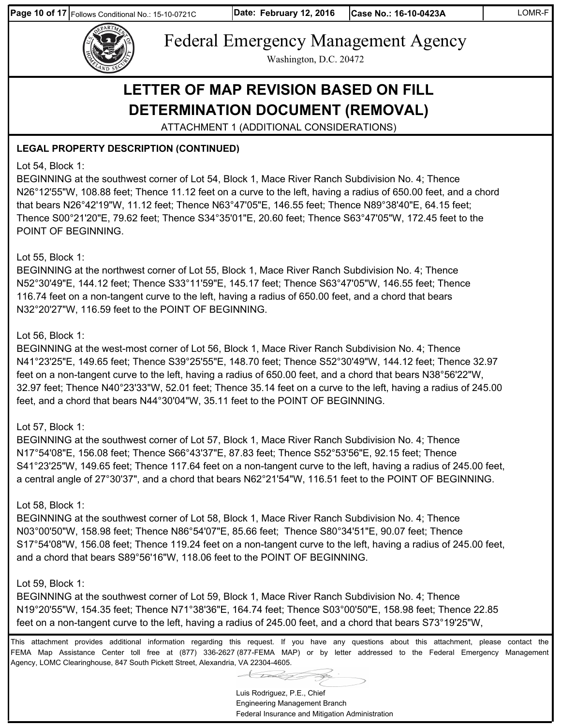**Page 10 of 17** Follows Conditional No.: 15-10-0721C



Federal Emergency Management Agency

Washington, D.C. 20472

# **LETTER OF MAP REVISION BASED ON FILL DETERMINATION DOCUMENT (REMOVAL)**

ATTACHMENT 1 (ADDITIONAL CONSIDERATIONS)

### **LEGAL PROPERTY DESCRIPTION (CONTINUED)**

#### Lot 54, Block 1:

BEGINNING at the southwest corner of Lot 54, Block 1, Mace River Ranch Subdivision No. 4; Thence N26°12'55"W, 108.88 feet; Thence 11.12 feet on a curve to the left, having a radius of 650.00 feet, and a chord that bears N26°42'19"W, 11.12 feet; Thence N63°47'05"E, 146.55 feet; Thence N89°38'40"E, 64.15 feet; Thence S00°21'20"E, 79.62 feet; Thence S34°35'01"E, 20.60 feet; Thence S63°47'05"W, 172.45 feet to the POINT OF BEGINNING.

#### Lot 55, Block 1:

BEGINNING at the northwest corner of Lot 55, Block 1, Mace River Ranch Subdivision No. 4; Thence N52°30'49"E, 144.12 feet; Thence S33°11'59"E, 145.17 feet; Thence S63°47'05"W, 146.55 feet; Thence 116.74 feet on a non-tangent curve to the left, having a radius of 650.00 feet, and a chord that bears N32°20'27"W, 116.59 feet to the POINT OF BEGINNING.

#### Lot 56, Block 1:

BEGINNING at the west-most corner of Lot 56, Block 1, Mace River Ranch Subdivision No. 4; Thence N41°23'25"E, 149.65 feet; Thence S39°25'55"E, 148.70 feet; Thence S52°30'49"W, 144.12 feet; Thence 32.97 feet on a non-tangent curve to the left, having a radius of 650.00 feet, and a chord that bears N38°56'22"W, 32.97 feet; Thence N40°23'33"W, 52.01 feet; Thence 35.14 feet on a curve to the left, having a radius of 245.00 feet, and a chord that bears N44°30'04"W, 35.11 feet to the POINT OF BEGINNING.

#### Lot 57, Block 1:

BEGINNING at the southwest corner of Lot 57, Block 1, Mace River Ranch Subdivision No. 4; Thence N17°54'08"E, 156.08 feet; Thence S66°43'37"E, 87.83 feet; Thence S52°53'56"E, 92.15 feet; Thence S41°23'25"W, 149.65 feet; Thence 117.64 feet on a non-tangent curve to the left, having a radius of 245.00 feet, a central angle of 27°30'37", and a chord that bears N62°21'54"W, 116.51 feet to the POINT OF BEGINNING.

#### Lot 58, Block 1:

BEGINNING at the southwest corner of Lot 58, Block 1, Mace River Ranch Subdivision No. 4; Thence N03°00'50"W, 158.98 feet; Thence N86°54'07"E, 85.66 feet; Thence S80°34'51"E, 90.07 feet; Thence S17°54'08"W, 156.08 feet; Thence 119.24 feet on a non-tangent curve to the left, having a radius of 245.00 feet, and a chord that bears S89°56'16"W, 118.06 feet to the POINT OF BEGINNING.

#### Lot 59, Block 1:

BEGINNING at the southwest corner of Lot 59, Block 1, Mace River Ranch Subdivision No. 4; Thence N19°20'55"W, 154.35 feet; Thence N71°38'36"E, 164.74 feet; Thence S03°00'50"E, 158.98 feet; Thence 22.85 feet on a non-tangent curve to the left, having a radius of 245.00 feet, and a chord that bears S73°19'25"W,

Luis Rodriguez, P.E., Chief Engineering Management Branch Federal Insurance and Mitigation Administration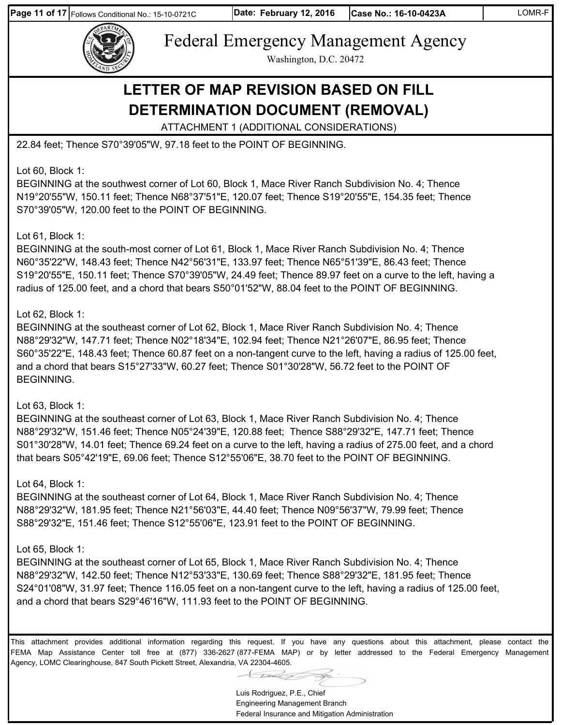**Page 11 of 17** Follows Conditional No.: 15-10-0721C



Federal Emergency Management Agency

Washington, D.C. 20472

# **LETTER OF MAP REVISION BASED ON FILL DETERMINATION DOCUMENT (REMOVAL)**

ATTACHMENT 1 (ADDITIONAL CONSIDERATIONS)

22.84 feet; Thence S70°39'05"W, 97.18 feet to the POINT OF BEGINNING.

Lot 60, Block 1:

BEGINNING at the southwest corner of Lot 60, Block 1, Mace River Ranch Subdivision No. 4; Thence N19°20'55"W, 150.11 feet; Thence N68°37'51"E, 120.07 feet; Thence S19°20'55"E, 154.35 feet; Thence S70°39'05"W, 120.00 feet to the POINT OF BEGINNING.

#### Lot 61, Block 1:

BEGINNING at the south-most corner of Lot 61, Block 1, Mace River Ranch Subdivision No. 4; Thence N60°35'22"W, 148.43 feet; Thence N42°56'31"E, 133.97 feet; Thence N65°51'39"E, 86.43 feet; Thence S19°20'55"E, 150.11 feet; Thence S70°39'05"W, 24.49 feet; Thence 89.97 feet on a curve to the left, having a radius of 125.00 feet, and a chord that bears S50°01'52"W, 88.04 feet to the POINT OF BEGINNING.

### Lot 62, Block 1:

BEGINNING at the southeast corner of Lot 62, Block 1, Mace River Ranch Subdivision No. 4; Thence N88°29'32"W, 147.71 feet; Thence N02°18'34"E, 102.94 feet; Thence N21°26'07"E, 86.95 feet; Thence S60°35'22"E, 148.43 feet; Thence 60.87 feet on a non-tangent curve to the left, having a radius of 125.00 feet, and a chord that bears S15°27'33"W, 60.27 feet; Thence S01°30'28"W, 56.72 feet to the POINT OF BEGINNING.

#### Lot 63, Block 1:

BEGINNING at the southeast corner of Lot 63, Block 1, Mace River Ranch Subdivision No. 4; Thence N88°29'32"W, 151.46 feet; Thence N05°24'39"E, 120.88 feet; Thence S88°29'32"E, 147.71 feet; Thence S01°30'28"W, 14.01 feet; Thence 69.24 feet on a curve to the left, having a radius of 275.00 feet, and a chord that bears S05°42'19"E, 69.06 feet; Thence S12°55'06"E, 38.70 feet to the POINT OF BEGINNING.

### Lot 64, Block 1:

BEGINNING at the southeast corner of Lot 64, Block 1, Mace River Ranch Subdivision No. 4; Thence N88°29'32"W, 181.95 feet; Thence N21°56'03"E, 44.40 feet; Thence N09°56'37"W, 79.99 feet; Thence S88°29'32"E, 151.46 feet; Thence S12°55'06"E, 123.91 feet to the POINT OF BEGINNING.

### Lot 65, Block 1:

BEGINNING at the southeast corner of Lot 65, Block 1, Mace River Ranch Subdivision No. 4; Thence N88°29'32"W, 142.50 feet; Thence N12°53'33"E, 130.69 feet; Thence S88°29'32"E, 181.95 feet; Thence S24°01'08"W, 31.97 feet; Thence 116.05 feet on a non-tangent curve to the left, having a radius of 125.00 feet, and a chord that bears S29°46'16"W, 111.93 feet to the POINT OF BEGINNING.

Luis Rodriguez, P.E., Chief Engineering Management Branch Federal Insurance and Mitigation Administration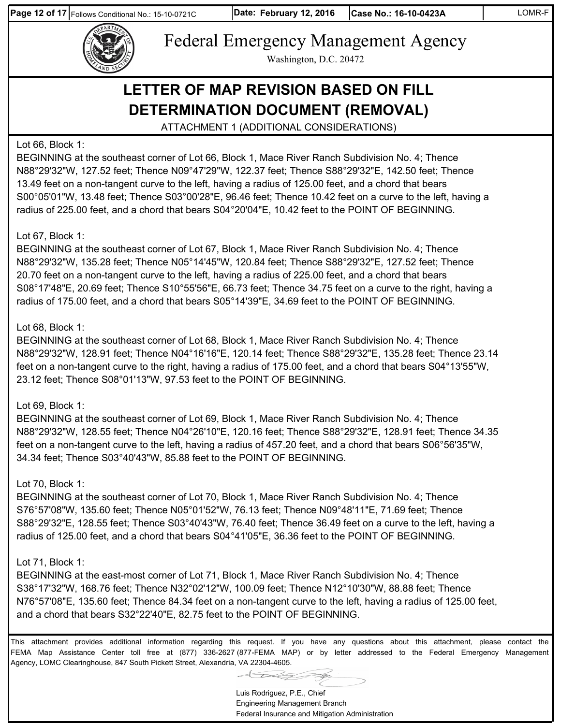**Page 12 of 17** Follows Conditional No.: 15-10-0721C



Federal Emergency Management Agency

Washington, D.C. 20472

# **LETTER OF MAP REVISION BASED ON FILL DETERMINATION DOCUMENT (REMOVAL)**

ATTACHMENT 1 (ADDITIONAL CONSIDERATIONS)

#### Lot 66, Block 1:

BEGINNING at the southeast corner of Lot 66, Block 1, Mace River Ranch Subdivision No. 4; Thence N88°29'32"W, 127.52 feet; Thence N09°47'29"W, 122.37 feet; Thence S88°29'32"E, 142.50 feet; Thence 13.49 feet on a non-tangent curve to the left, having a radius of 125.00 feet, and a chord that bears S00°05'01"W, 13.48 feet; Thence S03°00'28"E, 96.46 feet; Thence 10.42 feet on a curve to the left, having a radius of 225.00 feet, and a chord that bears S04°20'04"E, 10.42 feet to the POINT OF BEGINNING.

#### Lot 67, Block 1:

BEGINNING at the southeast corner of Lot 67, Block 1, Mace River Ranch Subdivision No. 4; Thence N88°29'32"W, 135.28 feet; Thence N05°14'45"W, 120.84 feet; Thence S88°29'32"E, 127.52 feet; Thence 20.70 feet on a non-tangent curve to the left, having a radius of 225.00 feet, and a chord that bears S08°17'48"E, 20.69 feet; Thence S10°55'56"E, 66.73 feet; Thence 34.75 feet on a curve to the right, having a radius of 175.00 feet, and a chord that bears S05°14'39"E, 34.69 feet to the POINT OF BEGINNING.

#### Lot 68, Block 1:

BEGINNING at the southeast corner of Lot 68, Block 1, Mace River Ranch Subdivision No. 4; Thence N88°29'32"W, 128.91 feet; Thence N04°16'16"E, 120.14 feet; Thence S88°29'32"E, 135.28 feet; Thence 23.14 feet on a non-tangent curve to the right, having a radius of 175.00 feet, and a chord that bears S04°13'55"W, 23.12 feet; Thence S08°01'13"W, 97.53 feet to the POINT OF BEGINNING.

#### Lot 69, Block 1:

BEGINNING at the southeast corner of Lot 69, Block 1, Mace River Ranch Subdivision No. 4; Thence N88°29'32"W, 128.55 feet; Thence N04°26'10"E, 120.16 feet; Thence S88°29'32"E, 128.91 feet; Thence 34.35 feet on a non-tangent curve to the left, having a radius of 457.20 feet, and a chord that bears S06°56'35"W, 34.34 feet; Thence S03°40'43"W, 85.88 feet to the POINT OF BEGINNING.

#### Lot 70, Block 1:

BEGINNING at the southeast corner of Lot 70, Block 1, Mace River Ranch Subdivision No. 4; Thence S76°57'08"W, 135.60 feet; Thence N05°01'52"W, 76.13 feet; Thence N09°48'11"E, 71.69 feet; Thence S88°29'32"E, 128.55 feet; Thence S03°40'43"W, 76.40 feet; Thence 36.49 feet on a curve to the left, having a radius of 125.00 feet, and a chord that bears S04°41'05"E, 36.36 feet to the POINT OF BEGINNING.

#### Lot 71, Block 1:

BEGINNING at the east-most corner of Lot 71, Block 1, Mace River Ranch Subdivision No. 4; Thence S38°17'32"W, 168.76 feet; Thence N32°02'12"W, 100.09 feet; Thence N12°10'30"W, 88.88 feet; Thence N76°57'08"E, 135.60 feet; Thence 84.34 feet on a non-tangent curve to the left, having a radius of 125.00 feet, and a chord that bears S32°22'40"E, 82.75 feet to the POINT OF BEGINNING.

Luis Rodriguez, P.E., Chief Engineering Management Branch Federal Insurance and Mitigation Administration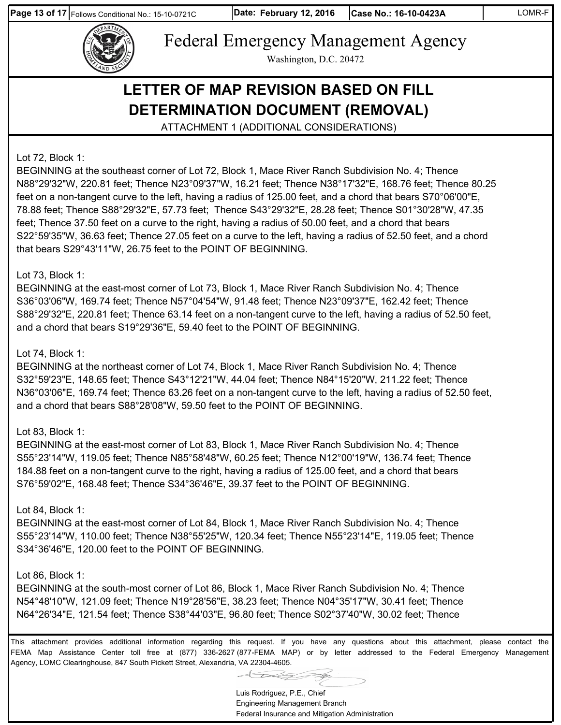**Page 13 of 17** Follows Conditional No.: 15-10-0721C



Federal Emergency Management Agency Washington, D.C. 20472

# **LETTER OF MAP REVISION BASED ON FILL DETERMINATION DOCUMENT (REMOVAL)**

ATTACHMENT 1 (ADDITIONAL CONSIDERATIONS)

Lot 72, Block 1:

BEGINNING at the southeast corner of Lot 72, Block 1, Mace River Ranch Subdivision No. 4; Thence N88°29'32"W, 220.81 feet; Thence N23°09'37"W, 16.21 feet; Thence N38°17'32"E, 168.76 feet; Thence 80.25 feet on a non-tangent curve to the left, having a radius of 125.00 feet, and a chord that bears S70°06'00"E, 78.88 feet; Thence S88°29'32"E, 57.73 feet; Thence S43°29'32"E, 28.28 feet; Thence S01°30'28"W, 47.35 feet; Thence 37.50 feet on a curve to the right, having a radius of 50.00 feet, and a chord that bears S22°59'35"W, 36.63 feet; Thence 27.05 feet on a curve to the left, having a radius of 52.50 feet, and a chord that bears S29°43'11"W, 26.75 feet to the POINT OF BEGINNING.

#### Lot 73, Block 1:

BEGINNING at the east-most corner of Lot 73, Block 1, Mace River Ranch Subdivision No. 4; Thence S36°03'06"W, 169.74 feet; Thence N57°04'54"W, 91.48 feet; Thence N23°09'37"E, 162.42 feet; Thence S88°29'32"E, 220.81 feet; Thence 63.14 feet on a non-tangent curve to the left, having a radius of 52.50 feet, and a chord that bears S19°29'36"E, 59.40 feet to the POINT OF BEGINNING.

#### Lot 74, Block 1:

BEGINNING at the northeast corner of Lot 74, Block 1, Mace River Ranch Subdivision No. 4; Thence S32°59'23"E, 148.65 feet; Thence S43°12'21"W, 44.04 feet; Thence N84°15'20"W, 211.22 feet; Thence N36°03'06"E, 169.74 feet; Thence 63.26 feet on a non-tangent curve to the left, having a radius of 52.50 feet, and a chord that bears S88°28'08"W, 59.50 feet to the POINT OF BEGINNING.

#### Lot 83, Block 1:

BEGINNING at the east-most corner of Lot 83, Block 1, Mace River Ranch Subdivision No. 4; Thence S55°23'14"W, 119.05 feet; Thence N85°58'48"W, 60.25 feet; Thence N12°00'19"W, 136.74 feet; Thence 184.88 feet on a non-tangent curve to the right, having a radius of 125.00 feet, and a chord that bears S76°59'02"E, 168.48 feet; Thence S34°36'46"E, 39.37 feet to the POINT OF BEGINNING.

#### Lot 84, Block 1:

BEGINNING at the east-most corner of Lot 84, Block 1, Mace River Ranch Subdivision No. 4; Thence S55°23'14"W, 110.00 feet; Thence N38°55'25"W, 120.34 feet; Thence N55°23'14"E, 119.05 feet; Thence S34°36'46"E, 120.00 feet to the POINT OF BEGINNING.

#### Lot 86, Block 1:

BEGINNING at the south-most corner of Lot 86, Block 1, Mace River Ranch Subdivision No. 4; Thence N54°48'10"W, 121.09 feet; Thence N19°28'56"E, 38.23 feet; Thence N04°35'17"W, 30.41 feet; Thence N64°26'34"E, 121.54 feet; Thence S38°44'03"E, 96.80 feet; Thence S02°37'40"W, 30.02 feet; Thence

This attachment provides additional information regarding this request. If you have any questions about this attachment, please contact the FEMA Map Assistance Center toll free at (877) 336-2627 (877-FEMA MAP) or by letter addressed to the Federal Emergency Management Agency, LOMC Clearinghouse, 847 South Pickett Street, Alexandria, VA 22304-4605.

Luis Rodriguez, P.E., Chief

Engineering Management Branch Federal Insurance and Mitigation Administration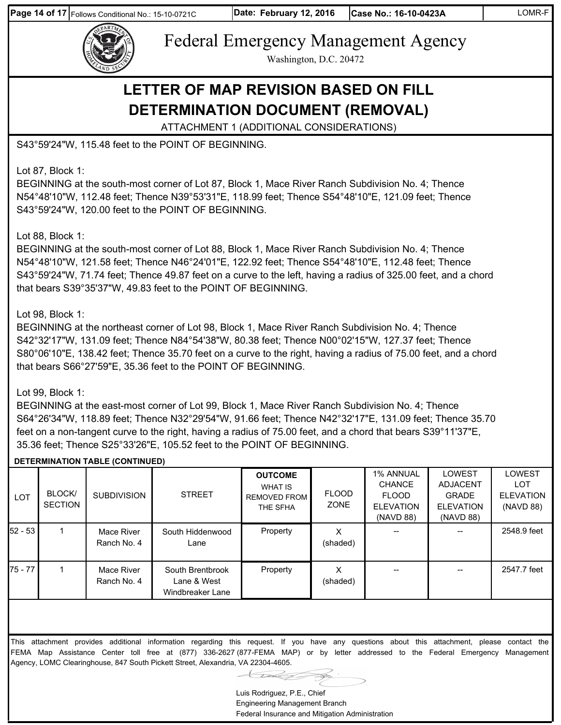**Page 14 of 17** Follows Conditional No.: 15-10-0721C





Federal Emergency Management Agency

Washington, D.C. 20472

## **LETTER OF MAP REVISION BASED ON FILL DETERMINATION DOCUMENT (REMOVAL)**

ATTACHMENT 1 (ADDITIONAL CONSIDERATIONS)

S43°59'24"W, 115.48 feet to the POINT OF BEGINNING.

Lot 87, Block 1:

BEGINNING at the south-most corner of Lot 87, Block 1, Mace River Ranch Subdivision No. 4; Thence N54°48'10"W, 112.48 feet; Thence N39°53'31"E, 118.99 feet; Thence S54°48'10"E, 121.09 feet; Thence S43°59'24"W, 120.00 feet to the POINT OF BEGINNING.

Lot 88, Block 1:

BEGINNING at the south-most corner of Lot 88, Block 1, Mace River Ranch Subdivision No. 4; Thence N54°48'10"W, 121.58 feet; Thence N46°24'01"E, 122.92 feet; Thence S54°48'10"E, 112.48 feet; Thence S43°59'24"W, 71.74 feet; Thence 49.87 feet on a curve to the left, having a radius of 325.00 feet, and a chord that bears S39°35'37"W, 49.83 feet to the POINT OF BEGINNING.

#### Lot 98, Block 1:

BEGINNING at the northeast corner of Lot 98, Block 1, Mace River Ranch Subdivision No. 4; Thence S42°32'17"W, 131.09 feet; Thence N84°54'38"W, 80.38 feet; Thence N00°02'15"W, 127.37 feet; Thence S80°06'10"E, 138.42 feet; Thence 35.70 feet on a curve to the right, having a radius of 75.00 feet, and a chord that bears S66°27'59"E, 35.36 feet to the POINT OF BEGINNING.

#### Lot 99, Block 1:

BEGINNING at the east-most corner of Lot 99, Block 1, Mace River Ranch Subdivision No. 4; Thence S64°26'34"W, 118.89 feet; Thence N32°29'54"W, 91.66 feet; Thence N42°32'17"E, 131.09 feet; Thence 35.70 feet on a non-tangent curve to the right, having a radius of 75.00 feet, and a chord that bears S39°11'37"E, 35.36 feet; Thence S25°33'26"E, 105.52 feet to the POINT OF BEGINNING.

#### **DETERMINATION TABLE (CONTINUED)**

| <b>LOT</b> | BLOCK/<br><b>SECTION</b> | <b>SUBDIVISION</b>        | <b>STREET</b>                                       | <b>OUTCOME</b><br>WHAT IS<br><b>REMOVED FROM</b><br>THE SFHA | <b>FLOOD</b><br>ZONE | <b>1% ANNUAL</b><br><b>CHANCE</b><br><b>FLOOD</b><br><b>ELEVATION</b> | <b>LOWEST</b><br><b>ADJACENT</b><br><b>GRADE</b><br><b>ELEVATION</b> | <b>LOWEST</b><br>LOT<br><b>ELEVATION</b><br>(NAVD 88) |
|------------|--------------------------|---------------------------|-----------------------------------------------------|--------------------------------------------------------------|----------------------|-----------------------------------------------------------------------|----------------------------------------------------------------------|-------------------------------------------------------|
| 52 - 53 l  |                          | Mace River<br>Ranch No. 4 | South Hiddenwood<br>Lane                            | Property                                                     | (shaded)             | (NAVD 88)                                                             | (NAVD 88)<br>--                                                      | 2548.9 feet                                           |
| 75 - 77 l  |                          | Mace River<br>Ranch No. 4 | South Brentbrook<br>Lane & West<br>Windbreaker Lane | Property                                                     | х<br>(shaded)        |                                                                       |                                                                      | 2547.7 feet                                           |

Luis Rodriguez, P.E., Chief Engineering Management Branch Federal Insurance and Mitigation Administration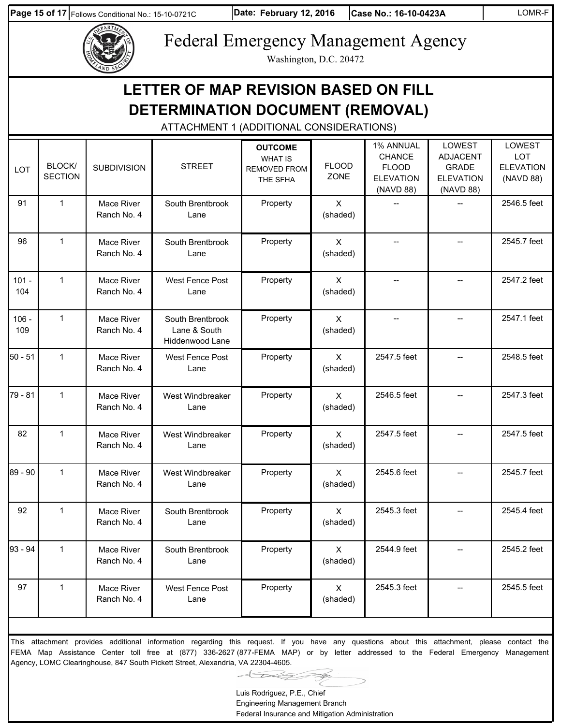**Page 15 of 17** Follows Conditional No.: 15-10-0721C

**Date: Case No.: 16-10-0423A** LOMR-F



# Federal Emergency Management Agency

Washington, D.C. 20472

|                | DETERMINATION DOCUMENT (REMOVAL)<br>ATTACHMENT 1 (ADDITIONAL CONSIDERATIONS) |                           |                                                     |                                                                     |                          |                                                                      |                                                                                   |                                                       |  |  |  |  |
|----------------|------------------------------------------------------------------------------|---------------------------|-----------------------------------------------------|---------------------------------------------------------------------|--------------------------|----------------------------------------------------------------------|-----------------------------------------------------------------------------------|-------------------------------------------------------|--|--|--|--|
| <b>LOT</b>     | <b>BLOCK/</b><br><b>SECTION</b>                                              | <b>SUBDIVISION</b>        | <b>STREET</b>                                       | <b>OUTCOME</b><br><b>WHAT IS</b><br><b>REMOVED FROM</b><br>THE SFHA | <b>FLOOD</b><br>ZONE     | 1% ANNUAL<br>CHANCE<br><b>FLOOD</b><br><b>ELEVATION</b><br>(NAVD 88) | <b>LOWEST</b><br><b>ADJACENT</b><br><b>GRADE</b><br><b>ELEVATION</b><br>(NAVD 88) | LOWEST<br><b>LOT</b><br><b>ELEVATION</b><br>(NAVD 88) |  |  |  |  |
| 91             | $\mathbf{1}$                                                                 | Mace River<br>Ranch No. 4 | South Brentbrook<br>Lane                            | Property                                                            | $\mathsf{X}$<br>(shaded) |                                                                      |                                                                                   | 2546.5 feet                                           |  |  |  |  |
| 96             | $\mathbf{1}$                                                                 | Mace River<br>Ranch No. 4 | South Brentbrook<br>Lane                            | Property                                                            | $\sf X$<br>(shaded)      |                                                                      |                                                                                   | 2545.7 feet                                           |  |  |  |  |
| $101 -$<br>104 | $\mathbf{1}$                                                                 | Mace River<br>Ranch No. 4 | <b>West Fence Post</b><br>Lane                      | Property                                                            | $\mathsf{X}$<br>(shaded) |                                                                      |                                                                                   | 2547.2 feet                                           |  |  |  |  |
| $106 -$<br>109 | $\mathbf{1}$                                                                 | Mace River<br>Ranch No. 4 | South Brentbrook<br>Lane & South<br>Hiddenwood Lane | Property                                                            | $\sf X$<br>(shaded)      |                                                                      |                                                                                   | 2547.1 feet                                           |  |  |  |  |
| $50 - 51$      | $\mathbf{1}$                                                                 | Mace River<br>Ranch No. 4 | West Fence Post<br>Lane                             | Property                                                            | $\mathsf{X}$<br>(shaded) | 2547.5 feet                                                          |                                                                                   | 2548.5 feet                                           |  |  |  |  |
| 79 - 81        | $\mathbf{1}$                                                                 | Mace River<br>Ranch No. 4 | West Windbreaker<br>Lane                            | Property                                                            | X<br>(shaded)            | 2546.5 feet                                                          |                                                                                   | 2547.3 feet                                           |  |  |  |  |
| 82             | $\mathbf{1}$                                                                 | Mace River<br>Ranch No. 4 | West Windbreaker<br>Lane                            | Property                                                            | $\mathsf{X}$<br>(shaded) | 2547.5 feet                                                          |                                                                                   | 2547.5 feet                                           |  |  |  |  |
| 89 - 90        | 1                                                                            | Mace River<br>Ranch No. 4 | West Windbreaker<br>Lane                            | Property                                                            | X<br>(shaded)            | 2545.6 feet                                                          |                                                                                   | 2545.7 feet                                           |  |  |  |  |
| 92             | $\mathbf{1}$                                                                 | Mace River<br>Ranch No. 4 | South Brentbrook<br>Lane                            | Property                                                            | $\times$<br>(shaded)     | 2545.3 feet                                                          |                                                                                   | 2545.4 feet                                           |  |  |  |  |
| 93 - 94        | $\mathbf{1}$                                                                 | Mace River<br>Ranch No. 4 | South Brentbrook<br>Lane                            | Property                                                            | $\mathsf{X}$<br>(shaded) | 2544.9 feet                                                          |                                                                                   | 2545.2 feet                                           |  |  |  |  |
| 97             | $\mathbf{1}$                                                                 | Mace River<br>Ranch No. 4 | West Fence Post<br>Lane                             | Property                                                            | $\mathsf{X}$<br>(shaded) | 2545.3 feet                                                          | $-$                                                                               | 2545.5 feet                                           |  |  |  |  |

FEMA Map Assistance Center toll free at (877) 336-2627 (877-FEMA MAP) or by letter addressed to the Federal Emergency Management Agency, LOMC Clearinghouse, 847 South Pickett Street, Alexandria, VA 22304-4605.

Luis Rodriguez, P.E., Chief Engineering Management Branch Federal Insurance and Mitigation Administration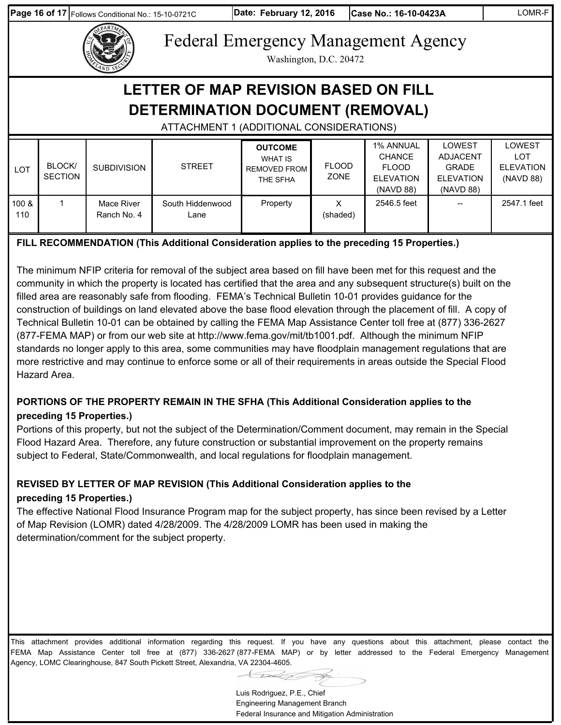**Page 16 of 17** Follows Conditional No.: 15-10-0721C

**Date: Case No.: 16-10-0423A** LOMR-F

Federal Emergency Management Agency

Washington, D.C. 20472

# **LETTER OF MAP REVISION BASED ON FILL DETERMINATION DOCUMENT (REMOVAL)**

### ATTACHMENT 1 (ADDITIONAL CONSIDERATIONS)

| <b>LOT</b>   | <b>BLOCK/</b><br><b>SECTION</b> | <b>SUBDIVISION</b>        | <b>STREET</b>            | <b>OUTCOME</b><br><b>WHAT IS</b><br><b>REMOVED FROM</b><br>THE SFHA | <b>FLOOD</b><br>ZONE | 1% ANNUAL<br><b>CHANCE</b><br><b>FLOOD</b><br><b>ELEVATION</b><br>(NAVD 88) | LOWEST<br><b>ADJACENT</b><br><b>GRADE</b><br><b>ELEVATION</b><br>(NAVD 88) | LOWEST<br>LOT<br><b>ELEVATION</b><br>(NAVD 88) |
|--------------|---------------------------------|---------------------------|--------------------------|---------------------------------------------------------------------|----------------------|-----------------------------------------------------------------------------|----------------------------------------------------------------------------|------------------------------------------------|
| 100 &<br>110 |                                 | Mace River<br>Ranch No. 4 | South Hiddenwood<br>Lane | Property                                                            | х<br>(shaded)        | 2546.5 feet                                                                 | $\hspace{0.05cm}$ – $\hspace{0.05cm}$                                      | 2547.1 feet                                    |

### **FILL RECOMMENDATION (This Additional Consideration applies to the preceding 15 Properties.)**

The minimum NFIP criteria for removal of the subject area based on fill have been met for this request and the community in which the property is located has certified that the area and any subsequent structure(s) built on the filled area are reasonably safe from flooding. FEMA's Technical Bulletin 10-01 provides guidance for the construction of buildings on land elevated above the base flood elevation through the placement of fill. A copy of Technical Bulletin 10-01 can be obtained by calling the FEMA Map Assistance Center toll free at (877) 336-2627 (877-FEMA MAP) or from our web site at http://www.fema.gov/mit/tb1001.pdf. Although the minimum NFIP standards no longer apply to this area, some communities may have floodplain management regulations that are more restrictive and may continue to enforce some or all of their requirements in areas outside the Special Flood Hazard Area.

#### **PORTIONS OF THE PROPERTY REMAIN IN THE SFHA (This Additional Consideration applies to the preceding 15 Properties.)**

Portions of this property, but not the subject of the Determination/Comment document, may remain in the Special Flood Hazard Area. Therefore, any future construction or substantial improvement on the property remains subject to Federal, State/Commonwealth, and local regulations for floodplain management.

### **REVISED BY LETTER OF MAP REVISION (This Additional Consideration applies to the preceding 15 Properties.)**

The effective National Flood Insurance Program map for the subject property, has since been revised by a Letter of Map Revision (LOMR) dated 4/28/2009. The 4/28/2009 LOMR has been used in making the determination/comment for the subject property.

This attachment provides additional information regarding this request. If you have any questions about this attachment, please contact the FEMA Map Assistance Center toll free at (877) 336-2627 (877-FEMA MAP) or by letter addressed to the Federal Emergency Management Agency, LOMC Clearinghouse, 847 South Pickett Street, Alexandria, VA 22304-4605.